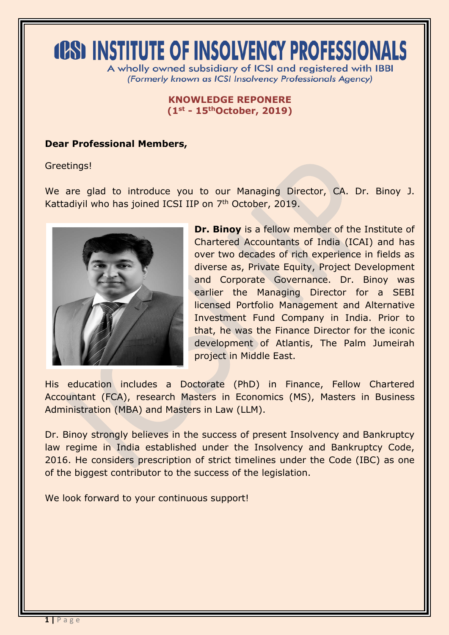# **(PS) INSTITUTE OF INSOLVENCY PROFESSIONALS**

A wholly owned subsidiary of ICSI and registered with IBBI (Formerly known as ICSI Insolvency Professionals Agency)

#### **KNOWLEDGE REPONERE (1st - 15thOctober, 2019)**

### **Dear Professional Members,**

Greetings!

We are glad to introduce you to our Managing Director, CA. Dr. Binoy J. Kattadiyil who has joined ICSI IIP on 7<sup>th</sup> October, 2019.



**Dr. Binoy** is a fellow member of the Institute of Chartered Accountants of India (ICAI) and has over two decades of rich experience in fields as diverse as, Private Equity, Project Development and Corporate Governance. Dr. Binoy was earlier the Managing Director for a SEBI licensed Portfolio Management and Alternative Investment Fund Company in India. Prior to that, he was the Finance Director for the iconic development of Atlantis, The Palm Jumeirah project in Middle East.

His education includes a Doctorate (PhD) in Finance, Fellow Chartered Accountant (FCA), research Masters in Economics (MS), Masters in Business Administration (MBA) and Masters in Law (LLM).

Dr. Binoy strongly believes in the success of present Insolvency and Bankruptcy law regime in India established under the Insolvency and Bankruptcy Code, 2016. He considers prescription of strict timelines under the Code (IBC) as one of the biggest contributor to the success of the legislation.

We look forward to your continuous support!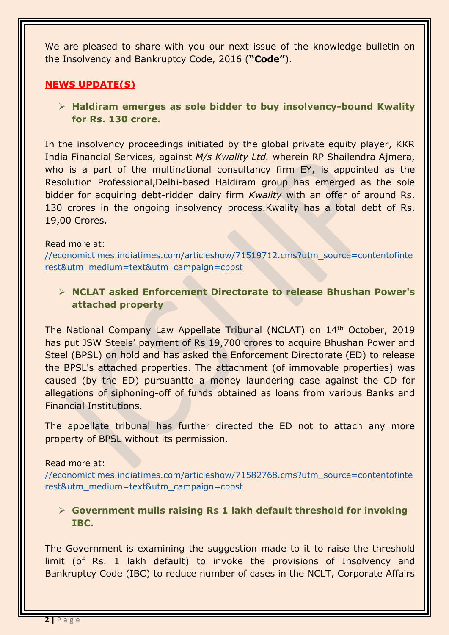We are pleased to share with you our next issue of the knowledge bulletin on the Insolvency and Bankruptcy Code, 2016 (**"Code"**).

# **NEWS UPDATE(S)**

 **Haldiram emerges as sole bidder to buy insolvency-bound Kwality for Rs. 130 crore.**

In the insolvency proceedings initiated by the global private equity player, KKR India Financial Services, against *M/s Kwality Ltd.* wherein RP Shailendra Ajmera, who is a part of the multinational consultancy firm EY, is appointed as the Resolution Professional,Delhi-based Haldiram group has emerged as the sole bidder for acquiring debt-ridden dairy firm *Kwality* with an offer of around Rs. 130 crores in the ongoing insolvency process.Kwality has a total debt of Rs. 19,00 Crores.

#### Read more at:

[//economictimes.indiatimes.com/articleshow/71519712.cms?utm\\_source=contentofinte](https://economictimes.indiatimes.com/articleshow/71519712.cms?utm_source=contentofinterest&utm_medium=text&utm_campaign=cppst) [rest&utm\\_medium=text&utm\\_campaign=cppst](https://economictimes.indiatimes.com/articleshow/71519712.cms?utm_source=contentofinterest&utm_medium=text&utm_campaign=cppst)

 **NCLAT asked Enforcement Directorate to release Bhushan Power's attached property**

The National Company Law Appellate Tribunal (NCLAT) on 14<sup>th</sup> October, 2019 has put JSW Steels' payment of Rs 19,700 crores to acquire Bhushan Power and Steel (BPSL) on hold and has asked the Enforcement Directorate (ED) to release the BPSL's attached properties. The attachment (of immovable properties) was caused (by the ED) pursuantto a money laundering case against the CD for allegations of siphoning-off of funds obtained as loans from various Banks and Financial Institutions.

The appellate tribunal has further directed the ED not to attach any more property of BPSL without its permission.

#### Read more at:

[//economictimes.indiatimes.com/articleshow/71582768.cms?utm\\_source=contentofinte](https://economictimes.indiatimes.com/articleshow/71582768.cms?utm_source=contentofinterest&utm_medium=text&utm_campaign=cppst) [rest&utm\\_medium=text&utm\\_campaign=cppst](https://economictimes.indiatimes.com/articleshow/71582768.cms?utm_source=contentofinterest&utm_medium=text&utm_campaign=cppst)

# **Government mulls raising Rs 1 lakh default threshold for invoking IBC.**

The Government is examining the suggestion made to it to raise the threshold limit (of Rs. 1 lakh default) to invoke the provisions of Insolvency and Bankruptcy Code (IBC) to reduce number of cases in the NCLT, Corporate Affairs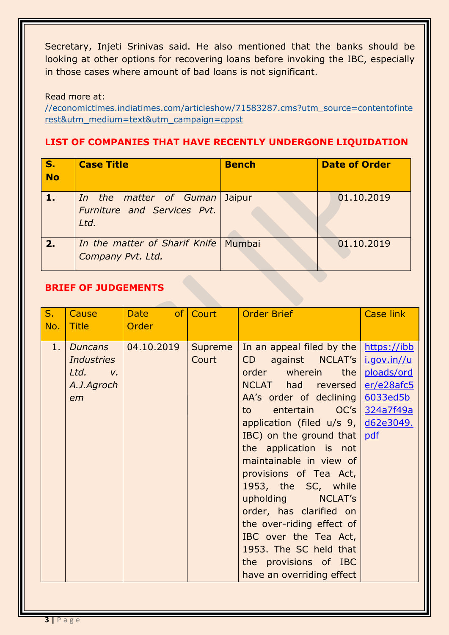Secretary, Injeti Srinivas said. He also mentioned that the banks should be looking at other options for recovering loans before invoking the IBC, especially in those cases where amount of bad loans is not significant.

Read more at:

[//economictimes.indiatimes.com/articleshow/71583287.cms?utm\\_source=contentofinte](https://economictimes.indiatimes.com/articleshow/71583287.cms?utm_source=contentofinterest&utm_medium=text&utm_campaign=cppst) [rest&utm\\_medium=text&utm\\_campaign=cppst](https://economictimes.indiatimes.com/articleshow/71583287.cms?utm_source=contentofinterest&utm_medium=text&utm_campaign=cppst)

# **LIST OF COMPANIES THAT HAVE RECENTLY UNDERGONE LIQUIDATION**

| S.<br>$\overline{\phantom{a}}$ No | <b>Case Title</b>                                             | <b>Bench</b> | <b>Date of Order</b> |
|-----------------------------------|---------------------------------------------------------------|--------------|----------------------|
|                                   | In the matter of Guman<br>Furniture and Services Pvt.<br>Ltd. | Jaipur       | 01.10.2019           |
| 2.                                | In the matter of Sharif Knife   Mumbai<br>Company Pvt. Ltd.   |              | 01.10.2019           |

# **BRIEF OF JUDGEMENTS**

| $S_{1}$<br>No. | Cause<br><b>Title</b>                                         | Date of Court<br>Order |                  | <b>Order Brief</b>                                                                                                                                                                                                                                                                                                                                                                                                                                                                                                                                                             | <b>Case link</b>                     |
|----------------|---------------------------------------------------------------|------------------------|------------------|--------------------------------------------------------------------------------------------------------------------------------------------------------------------------------------------------------------------------------------------------------------------------------------------------------------------------------------------------------------------------------------------------------------------------------------------------------------------------------------------------------------------------------------------------------------------------------|--------------------------------------|
| 1.             | Duncans<br><b>Industries</b><br>$Ltd.$ v.<br>A.J.Agroch<br>em | $ 04.10.2019\rangle$   | Supreme<br>Court | In an appeal filed by the $\frac{h}{h}$ https://ibb<br>against NCLAT's   i.gov.in//u<br>CD<br>order wherein the<br>NCLAT had reversed<br>AA's order of declining<br>entertain OC's 324a7f49a<br>to to<br>application (filed $u/s$ 9, $d62e3049$ .<br>IBC) on the ground that $pdf$<br>the application is not<br>maintainable in view of<br>provisions of Tea Act,<br>1953, the SC, while<br>upholding NCLAT's<br>order, has clarified on<br>the over-riding effect of<br>IBC over the Tea Act,<br>1953. The SC held that<br>the provisions of IBC<br>have an overriding effect | ploads/ord<br>er/e28afc5<br>6033ed5b |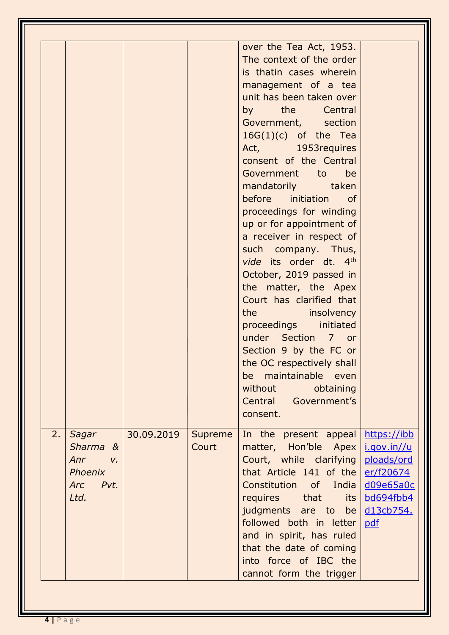|    |                                                                                  |            |                  | over the Tea Act, 1953.<br>The context of the order<br>is thatin cases wherein<br>management of a tea<br>unit has been taken over<br>by the Central<br>Government, section<br>$16G(1)(c)$ of the Tea<br>Act, 1953 requires<br>consent of the Central<br>Government to be<br>mandatorily taken<br>before initiation of<br>proceedings for winding<br>up or for appointment of<br>a receiver in respect of<br>such company. Thus,<br>vide its order dt. 4th<br>October, 2019 passed in<br>the matter, the Apex<br>Court has clarified that<br>the insolvency<br>proceedings initiated<br>under Section 7 or<br>Section 9 by the FC or<br>the OC respectively shall<br>maintainable even<br>be<br>obtaining<br>without<br>Central Government's<br>consent. |                                                                                                                   |
|----|----------------------------------------------------------------------------------|------------|------------------|---------------------------------------------------------------------------------------------------------------------------------------------------------------------------------------------------------------------------------------------------------------------------------------------------------------------------------------------------------------------------------------------------------------------------------------------------------------------------------------------------------------------------------------------------------------------------------------------------------------------------------------------------------------------------------------------------------------------------------------------------------|-------------------------------------------------------------------------------------------------------------------|
| 2. | Sagar<br>Sharma &<br>Anr<br>$V_{\rm r}$<br>Phoenix<br>Pvt.<br><b>Arc</b><br>Ltd. | 30.09.2019 | Supreme<br>Court | In the present appeal<br>matter, Hon'ble Apex<br>Court, while clarifying<br>that Article 141 of the<br>Constitution of India<br>requires that<br>its<br>judgments are to be<br>followed both in letter<br>and in spirit, has ruled<br>that the date of coming<br>into force of IBC the<br>cannot form the trigger                                                                                                                                                                                                                                                                                                                                                                                                                                       | https://ibb<br>i.gov.in//u<br>ploads/ord<br><u>er/f20674</u><br><u>d09e65a0c</u><br>bd694fbb4<br>d13cb754.<br>pdf |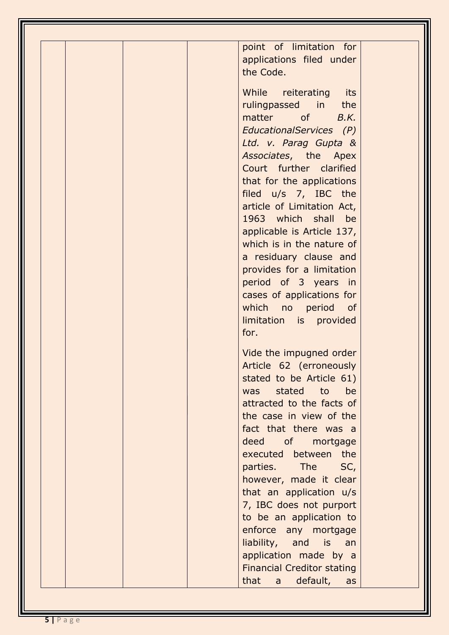| point of limitation for<br>applications filed under<br>the Code.                                                                                                                                                                                                                                                                                                                                                                                                                                                      |
|-----------------------------------------------------------------------------------------------------------------------------------------------------------------------------------------------------------------------------------------------------------------------------------------------------------------------------------------------------------------------------------------------------------------------------------------------------------------------------------------------------------------------|
| While reiterating its<br>rulingpassed in the<br>matter of <i>B.K.</i><br>EducationalServices (P)<br>Ltd. v. Parag Gupta &<br>Associates, the Apex<br>Court further clarified<br>that for the applications<br>filed u/s 7, IBC the<br>article of Limitation Act,<br>1963 which shall be<br>applicable is Article 137,<br>which is in the nature of<br>a residuary clause and<br>provides for a limitation<br>period of 3 years in<br>cases of applications for<br>which no period of<br>limitation is provided<br>for. |
| Vide the impugned order<br>Article 62 (erroneously<br>stated to be Article 61)<br>stated to<br>be<br>was<br>attracted to the facts of<br>the case in view of the<br>fact that there was a<br>deed of mortgage<br>executed between the<br>parties. The SC,<br>however, made it clear<br>that an application u/s<br>7, IBC does not purport<br>to be an application to<br>enforce any mortgage<br>liability, and is an<br>application made by a<br><b>Financial Creditor stating</b><br>that<br>default,<br>a<br>as     |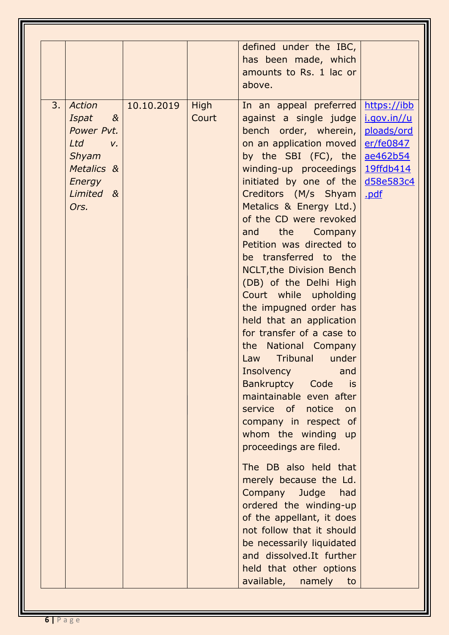|                                                                                                                             |            |               | defined under the IBC,<br>has been made, which<br>amounts to Rs. 1 lac or<br>above.                                                                                                                                                                                                                                                                                                                                                                                                                                                                                                                                                                                                                                                                                                                                                                                                                                                                                                                                                                                |                                                            |
|-----------------------------------------------------------------------------------------------------------------------------|------------|---------------|--------------------------------------------------------------------------------------------------------------------------------------------------------------------------------------------------------------------------------------------------------------------------------------------------------------------------------------------------------------------------------------------------------------------------------------------------------------------------------------------------------------------------------------------------------------------------------------------------------------------------------------------------------------------------------------------------------------------------------------------------------------------------------------------------------------------------------------------------------------------------------------------------------------------------------------------------------------------------------------------------------------------------------------------------------------------|------------------------------------------------------------|
| 3.<br>Action<br>Ispat<br>$\alpha$<br>Power Pvt.<br>Ltd<br>$V_{\rm c}$<br>Shyam<br>Metalics &<br>Energy<br>Limited &<br>Ors. | 10.10.2019 | High<br>Court | In an appeal preferred<br>against a single judge   i.gov.in//u<br>bench order, wherein,<br>on an application moved<br>by the SBI $(FC)$ , the<br>winding-up proceedings   19ffdb414<br>initiated by one of the $d58e583c4$<br>Creditors (M/s Shyam<br>Metalics & Energy Ltd.)<br>of the CD were revoked<br>and the Company<br>Petition was directed to<br>be transferred to the<br><b>NCLT, the Division Bench</b><br>(DB) of the Delhi High<br>Court while upholding<br>the impugned order has<br>held that an application<br>for transfer of a case to<br>the National Company<br>Law Tribunal under<br>Insolvency<br>and<br>Bankruptcy Code is<br>maintainable even after<br>service of notice<br>on<br>company in respect of<br>whom the winding up<br>proceedings are filed.<br>The DB also held that<br>merely because the Ld.<br>Company<br>Judge<br>had<br>ordered the winding-up<br>of the appellant, it does<br>not follow that it should<br>be necessarily liquidated<br>and dissolved.It further<br>held that other options<br>available, namely<br>to | https://ibb<br>ploads/ord<br>er/fe0847<br>ae462b54<br>.pdf |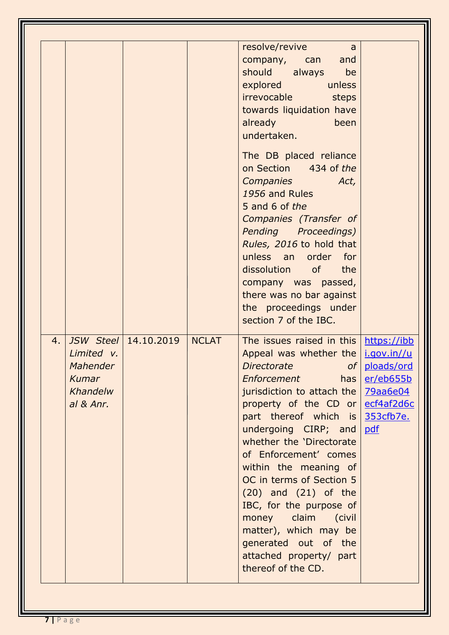|                                                                |                      |              | resolve/revive<br>a<br>company, can<br>and<br>should always<br>be<br>explored<br>unless<br>irrevocable<br>steps<br>towards liquidation have<br>already<br>been<br>undertaken.<br>The DB placed reliance                                                                                                                                                                                                                                                                                                        |                                                                                                                 |
|----------------------------------------------------------------|----------------------|--------------|----------------------------------------------------------------------------------------------------------------------------------------------------------------------------------------------------------------------------------------------------------------------------------------------------------------------------------------------------------------------------------------------------------------------------------------------------------------------------------------------------------------|-----------------------------------------------------------------------------------------------------------------|
|                                                                |                      |              | on Section 434 of the<br><b>Companies</b><br>Act,<br>1956 and Rules<br>5 and 6 of the<br>Companies (Transfer of<br>Pending Proceedings)<br>Rules, 2016 to hold that<br>unless an order<br>for<br>dissolution of<br>the<br>company was passed,<br>there was no bar against<br>the proceedings under<br>section 7 of the IBC.                                                                                                                                                                                    |                                                                                                                 |
| 4.<br>Limited v.<br>Mahender<br>Kumar<br>Khandelw<br>al & Anr. | JSW Steel 14.10.2019 | <b>NCLAT</b> | The issues raised in this<br>Appeal was whether the<br><i>Directorate</i><br><i><b>Enforcement</b></i><br>has<br>jurisdiction to attach the<br>property of the CD or<br>part thereof which is<br>undergoing CIRP; and<br>whether the 'Directorate<br>of Enforcement' comes<br>within the meaning of<br>OC in terms of Section 5<br>$(20)$ and $(21)$ of the<br>IBC, for the purpose of<br>money claim (civil<br>matter), which may be<br>generated out of the<br>attached property/ part<br>thereof of the CD. | https://ibb<br>i.gov.in//u<br>of   ploads/ord<br>er/eb655b<br><u>79aa6e04</u><br>ecf4af2d6c<br>353cfb7e.<br>pdf |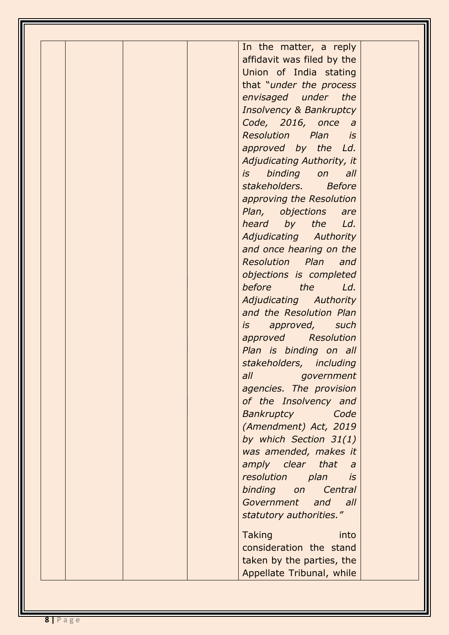| In the matter, a reply<br>affidavit was filed by the<br>Union of India stating<br>that "under the process<br>envisaged under the<br><b>Insolvency &amp; Bankruptcy</b><br>Code, 2016, once a<br>Resolution Plan is<br>approved by the Ld.<br>Adjudicating Authority, it<br>binding<br>is<br>$\mathsf{on}$<br>all<br>stakeholders. Before<br>approving the Resolution<br>Plan, objections<br>are<br>heard by the<br>Ld.<br>Adjudicating Authority<br>and once hearing on the<br>Resolution Plan and<br>objections is completed<br>before<br><i>the</i><br>Ld.<br>Adjudicating Authority<br>and the Resolution Plan<br>approved, such<br>is a<br>approved Resolution<br>Plan is binding on all<br>stakeholders, including<br>all government<br>agencies. The provision<br>of the Insolvency and<br>Bankruptcy<br>Code<br>(Amendment) Act, 2019<br>by which Section 31(1)<br>was amended, makes it<br>amply clear that<br>$\partial$<br>resolution<br>plan<br>is |  |
|---------------------------------------------------------------------------------------------------------------------------------------------------------------------------------------------------------------------------------------------------------------------------------------------------------------------------------------------------------------------------------------------------------------------------------------------------------------------------------------------------------------------------------------------------------------------------------------------------------------------------------------------------------------------------------------------------------------------------------------------------------------------------------------------------------------------------------------------------------------------------------------------------------------------------------------------------------------|--|
|                                                                                                                                                                                                                                                                                                                                                                                                                                                                                                                                                                                                                                                                                                                                                                                                                                                                                                                                                               |  |
|                                                                                                                                                                                                                                                                                                                                                                                                                                                                                                                                                                                                                                                                                                                                                                                                                                                                                                                                                               |  |
|                                                                                                                                                                                                                                                                                                                                                                                                                                                                                                                                                                                                                                                                                                                                                                                                                                                                                                                                                               |  |
|                                                                                                                                                                                                                                                                                                                                                                                                                                                                                                                                                                                                                                                                                                                                                                                                                                                                                                                                                               |  |
|                                                                                                                                                                                                                                                                                                                                                                                                                                                                                                                                                                                                                                                                                                                                                                                                                                                                                                                                                               |  |
|                                                                                                                                                                                                                                                                                                                                                                                                                                                                                                                                                                                                                                                                                                                                                                                                                                                                                                                                                               |  |
|                                                                                                                                                                                                                                                                                                                                                                                                                                                                                                                                                                                                                                                                                                                                                                                                                                                                                                                                                               |  |
|                                                                                                                                                                                                                                                                                                                                                                                                                                                                                                                                                                                                                                                                                                                                                                                                                                                                                                                                                               |  |
|                                                                                                                                                                                                                                                                                                                                                                                                                                                                                                                                                                                                                                                                                                                                                                                                                                                                                                                                                               |  |
|                                                                                                                                                                                                                                                                                                                                                                                                                                                                                                                                                                                                                                                                                                                                                                                                                                                                                                                                                               |  |
|                                                                                                                                                                                                                                                                                                                                                                                                                                                                                                                                                                                                                                                                                                                                                                                                                                                                                                                                                               |  |
|                                                                                                                                                                                                                                                                                                                                                                                                                                                                                                                                                                                                                                                                                                                                                                                                                                                                                                                                                               |  |
|                                                                                                                                                                                                                                                                                                                                                                                                                                                                                                                                                                                                                                                                                                                                                                                                                                                                                                                                                               |  |
|                                                                                                                                                                                                                                                                                                                                                                                                                                                                                                                                                                                                                                                                                                                                                                                                                                                                                                                                                               |  |
|                                                                                                                                                                                                                                                                                                                                                                                                                                                                                                                                                                                                                                                                                                                                                                                                                                                                                                                                                               |  |
|                                                                                                                                                                                                                                                                                                                                                                                                                                                                                                                                                                                                                                                                                                                                                                                                                                                                                                                                                               |  |
|                                                                                                                                                                                                                                                                                                                                                                                                                                                                                                                                                                                                                                                                                                                                                                                                                                                                                                                                                               |  |
|                                                                                                                                                                                                                                                                                                                                                                                                                                                                                                                                                                                                                                                                                                                                                                                                                                                                                                                                                               |  |
|                                                                                                                                                                                                                                                                                                                                                                                                                                                                                                                                                                                                                                                                                                                                                                                                                                                                                                                                                               |  |
|                                                                                                                                                                                                                                                                                                                                                                                                                                                                                                                                                                                                                                                                                                                                                                                                                                                                                                                                                               |  |
|                                                                                                                                                                                                                                                                                                                                                                                                                                                                                                                                                                                                                                                                                                                                                                                                                                                                                                                                                               |  |
|                                                                                                                                                                                                                                                                                                                                                                                                                                                                                                                                                                                                                                                                                                                                                                                                                                                                                                                                                               |  |
|                                                                                                                                                                                                                                                                                                                                                                                                                                                                                                                                                                                                                                                                                                                                                                                                                                                                                                                                                               |  |
|                                                                                                                                                                                                                                                                                                                                                                                                                                                                                                                                                                                                                                                                                                                                                                                                                                                                                                                                                               |  |
|                                                                                                                                                                                                                                                                                                                                                                                                                                                                                                                                                                                                                                                                                                                                                                                                                                                                                                                                                               |  |
|                                                                                                                                                                                                                                                                                                                                                                                                                                                                                                                                                                                                                                                                                                                                                                                                                                                                                                                                                               |  |
|                                                                                                                                                                                                                                                                                                                                                                                                                                                                                                                                                                                                                                                                                                                                                                                                                                                                                                                                                               |  |
|                                                                                                                                                                                                                                                                                                                                                                                                                                                                                                                                                                                                                                                                                                                                                                                                                                                                                                                                                               |  |
|                                                                                                                                                                                                                                                                                                                                                                                                                                                                                                                                                                                                                                                                                                                                                                                                                                                                                                                                                               |  |
|                                                                                                                                                                                                                                                                                                                                                                                                                                                                                                                                                                                                                                                                                                                                                                                                                                                                                                                                                               |  |
|                                                                                                                                                                                                                                                                                                                                                                                                                                                                                                                                                                                                                                                                                                                                                                                                                                                                                                                                                               |  |
|                                                                                                                                                                                                                                                                                                                                                                                                                                                                                                                                                                                                                                                                                                                                                                                                                                                                                                                                                               |  |
|                                                                                                                                                                                                                                                                                                                                                                                                                                                                                                                                                                                                                                                                                                                                                                                                                                                                                                                                                               |  |
|                                                                                                                                                                                                                                                                                                                                                                                                                                                                                                                                                                                                                                                                                                                                                                                                                                                                                                                                                               |  |
|                                                                                                                                                                                                                                                                                                                                                                                                                                                                                                                                                                                                                                                                                                                                                                                                                                                                                                                                                               |  |
|                                                                                                                                                                                                                                                                                                                                                                                                                                                                                                                                                                                                                                                                                                                                                                                                                                                                                                                                                               |  |
|                                                                                                                                                                                                                                                                                                                                                                                                                                                                                                                                                                                                                                                                                                                                                                                                                                                                                                                                                               |  |
|                                                                                                                                                                                                                                                                                                                                                                                                                                                                                                                                                                                                                                                                                                                                                                                                                                                                                                                                                               |  |
| binding on<br>Central                                                                                                                                                                                                                                                                                                                                                                                                                                                                                                                                                                                                                                                                                                                                                                                                                                                                                                                                         |  |
| Government and all                                                                                                                                                                                                                                                                                                                                                                                                                                                                                                                                                                                                                                                                                                                                                                                                                                                                                                                                            |  |
| statutory authorities."                                                                                                                                                                                                                                                                                                                                                                                                                                                                                                                                                                                                                                                                                                                                                                                                                                                                                                                                       |  |
|                                                                                                                                                                                                                                                                                                                                                                                                                                                                                                                                                                                                                                                                                                                                                                                                                                                                                                                                                               |  |
| <b>Taking</b><br>into                                                                                                                                                                                                                                                                                                                                                                                                                                                                                                                                                                                                                                                                                                                                                                                                                                                                                                                                         |  |
| consideration the stand                                                                                                                                                                                                                                                                                                                                                                                                                                                                                                                                                                                                                                                                                                                                                                                                                                                                                                                                       |  |
| taken by the parties, the                                                                                                                                                                                                                                                                                                                                                                                                                                                                                                                                                                                                                                                                                                                                                                                                                                                                                                                                     |  |
| Appellate Tribunal, while                                                                                                                                                                                                                                                                                                                                                                                                                                                                                                                                                                                                                                                                                                                                                                                                                                                                                                                                     |  |
|                                                                                                                                                                                                                                                                                                                                                                                                                                                                                                                                                                                                                                                                                                                                                                                                                                                                                                                                                               |  |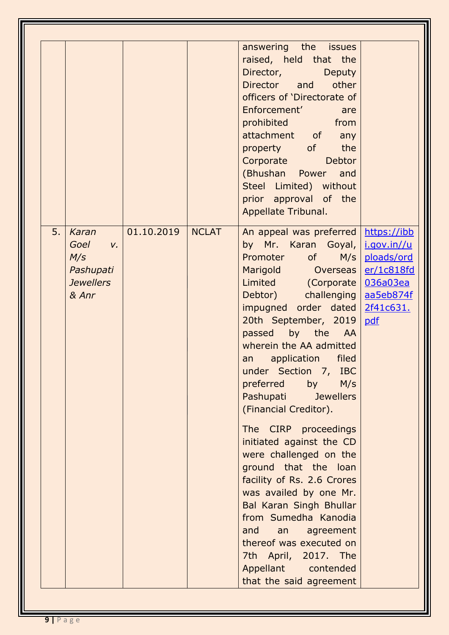|    |                                                                               |            |              | answering the issues<br>raised, held that the<br>Director,<br><b>Deputy</b><br>Director and<br>other<br>officers of 'Directorate of<br>Enforcement'<br>are<br>prohibited from<br>attachment of any<br>property of the<br><b>Corporate</b><br><b>Debtor</b><br>(Bhushan Power and<br>Steel Limited) without<br>prior approval of the<br>Appellate Tribunal.                                                                                                                                                                                                                                                                                                                                                      |                                                                                                     |
|----|-------------------------------------------------------------------------------|------------|--------------|-----------------------------------------------------------------------------------------------------------------------------------------------------------------------------------------------------------------------------------------------------------------------------------------------------------------------------------------------------------------------------------------------------------------------------------------------------------------------------------------------------------------------------------------------------------------------------------------------------------------------------------------------------------------------------------------------------------------|-----------------------------------------------------------------------------------------------------|
| 5. | Karan<br>Goel<br>$V_{\iota}$<br>M/s<br>Pashupati<br><b>Jewellers</b><br>& Anr | 01.10.2019 | <b>NCLAT</b> | An appeal was preferred<br>by Mr. Karan Goyal,<br>Promoter of M/s<br>Marigold Overseas<br>Limited (Corporate<br>Debtor) challenging<br>impugned order dated<br>20th September, 2019<br>passed by the AA<br>wherein the AA admitted<br>filed<br>application<br>an<br>under Section 7, IBC<br>preferred<br>by<br>M/s<br>Pashupati Jewellers<br>(Financial Creditor).<br>The CIRP proceedings<br>initiated against the CD<br>were challenged on the<br>ground that the loan<br>facility of Rs. 2.6 Crores<br>was availed by one Mr.<br>Bal Karan Singh Bhullar<br>from Sumedha Kanodia<br>and<br>an agreement<br>thereof was executed on<br>7th April, 2017. The<br>Appellant contended<br>that the said agreement | https://ibb<br>i.gov.in//u<br>ploads/ord<br>er/1c818fd<br>036a03ea<br>aa5eb874f<br>2f41c631.<br>pdf |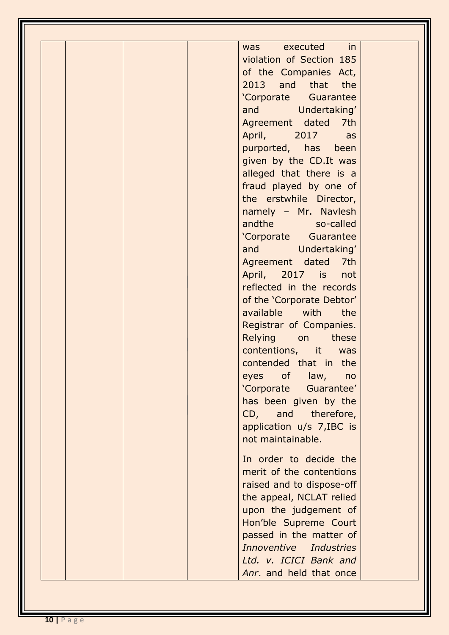| in<br>executed<br><b>was</b> |  |
|------------------------------|--|
| violation of Section 185     |  |
| of the Companies Act,        |  |
| 2013 and that the            |  |
| 'Corporate Guarantee         |  |
| and Undertaking'             |  |
| Agreement dated<br>7th       |  |
| April, 2017<br>as            |  |
| purported, has been          |  |
| given by the CD.It was       |  |
| alleged that there is a      |  |
| fraud played by one of       |  |
| the erstwhile Director,      |  |
| namely - Mr. Navlesh         |  |
| andthe so-called             |  |
| 'Corporate Guarantee         |  |
| and Undertaking'             |  |
| Agreement dated 7th          |  |
| April, 2017 is<br>not        |  |
| reflected in the records     |  |
| of the 'Corporate Debtor'    |  |
| available with<br>the        |  |
| Registrar of Companies.      |  |
| Relying on these             |  |
| contentions, it<br>was       |  |
| contended that in the        |  |
| eyes of law, no              |  |
| 'Corporate Guarantee'        |  |
| has been given by the        |  |
| CD, and therefore,           |  |
| application u/s 7, IBC is    |  |
| not maintainable.            |  |
| In order to decide the       |  |
| merit of the contentions     |  |
| raised and to dispose-off    |  |
| the appeal, NCLAT relied     |  |
| upon the judgement of        |  |
| Hon'ble Supreme Court        |  |
| passed in the matter of      |  |
| Innoventive Industries       |  |
| Ltd. v. ICICI Bank and       |  |
| Anr. and held that once      |  |
|                              |  |
|                              |  |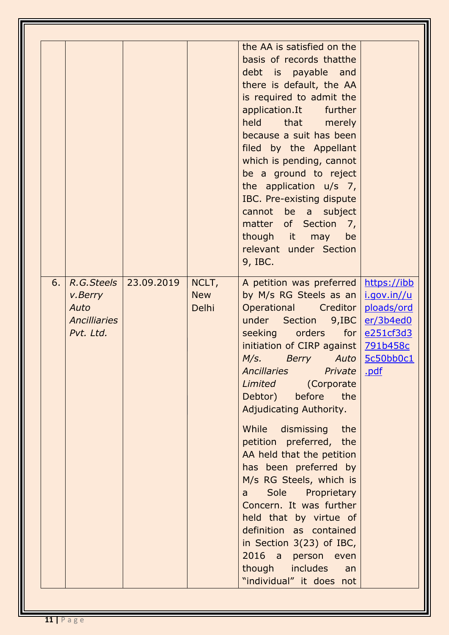| 6. | R.G. Steels                                         | 23.09.2019 | NCLT,               | the AA is satisfied on the<br>basis of records thatthe<br>debt is payable and<br>there is default, the AA<br>is required to admit the<br>application.It further<br>held that merely<br>because a suit has been<br>filed by the Appellant<br>which is pending, cannot<br>be a ground to reject<br>the application $u/s$ 7,<br>IBC. Pre-existing dispute<br>cannot be a subject<br>matter of Section 7,<br>though it may<br>be<br>relevant under Section<br>9, IBC.<br>A petition was preferred                                                                                                                                                 | https://ibb                                                             |
|----|-----------------------------------------------------|------------|---------------------|-----------------------------------------------------------------------------------------------------------------------------------------------------------------------------------------------------------------------------------------------------------------------------------------------------------------------------------------------------------------------------------------------------------------------------------------------------------------------------------------------------------------------------------------------------------------------------------------------------------------------------------------------|-------------------------------------------------------------------------|
|    | v.Berry<br>Auto<br><b>Ancilliaries</b><br>Pvt. Ltd. |            | <b>New</b><br>Delhi | by M/s RG Steels as an<br>Operational Creditor<br>under<br>Section 9, IBC<br>seeking orders<br>for $ $<br>initiation of CIRP against   791b458c<br>M/s. Berry Auto<br><b>Ancillaries</b><br>Private<br>Limited<br>(Corporate<br>before<br>Debtor)<br>the<br>Adjudicating Authority.<br>While dismissing<br>the<br>petition preferred, the<br>AA held that the petition<br>has been preferred by<br>M/s RG Steels, which is<br>Sole<br>Proprietary<br>a<br>Concern. It was further<br>held that by virtue of<br>definition as contained<br>in Section 3(23) of IBC,<br>2016 a person even<br>though includes<br>an<br>"individual" it does not | i.gov.in//u<br>ploads/ord<br>er/3b4ed0<br>e251cf3d3<br>5c50b0c1<br>.pdf |